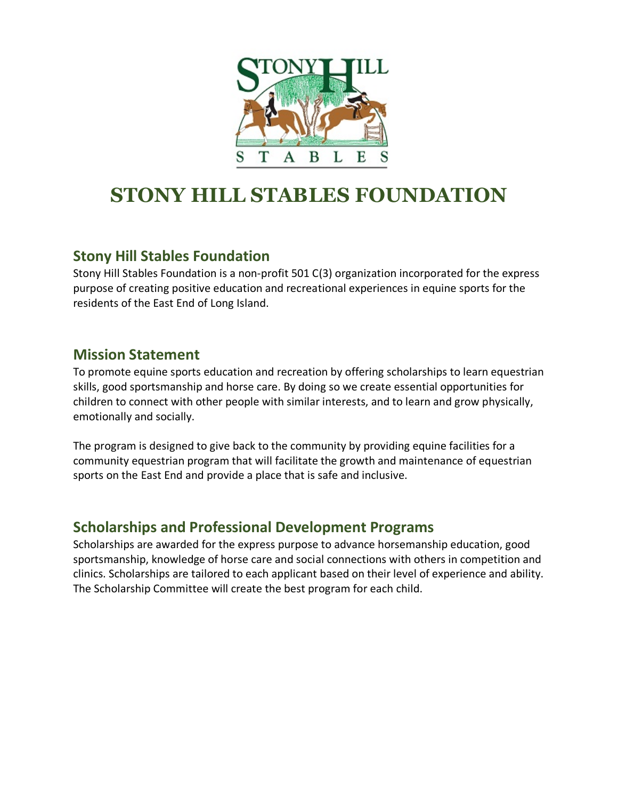

## **STONY HILL STABLES FOUNDATION**

### **Stony Hill Stables Foundation**

Stony Hill Stables Foundation is a non-profit 501 C(3) organization incorporated for the express purpose of creating positive education and recreational experiences in equine sports for the residents of the East End of Long Island.

#### **Mission Statement**

To promote equine sports education and recreation by offering scholarships to learn equestrian skills, good sportsmanship and horse care. By doing so we create essential opportunities for children to connect with other people with similar interests, and to learn and grow physically, emotionally and socially.

The program is designed to give back to the community by providing equine facilities for a community equestrian program that will facilitate the growth and maintenance of equestrian sports on the East End and provide a place that is safe and inclusive.

#### **Scholarships and Professional Development Programs**

Scholarships are awarded for the express purpose to advance horsemanship education, good sportsmanship, knowledge of horse care and social connections with others in competition and clinics. Scholarships are tailored to each applicant based on their level of experience and ability. The Scholarship Committee will create the best program for each child.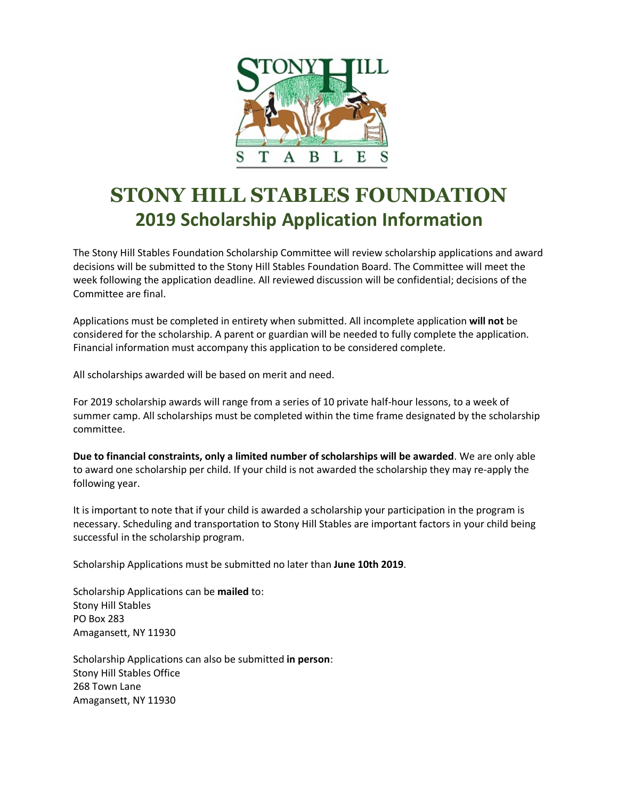

### **STONY HILL STABLES FOUNDATION 2019 Scholarship Application Information**

The Stony Hill Stables Foundation Scholarship Committee will review scholarship applications and award decisions will be submitted to the Stony Hill Stables Foundation Board. The Committee will meet the week following the application deadline. All reviewed discussion will be confidential; decisions of the Committee are final.

Applications must be completed in entirety when submitted. All incomplete application **will not** be considered for the scholarship. A parent or guardian will be needed to fully complete the application. Financial information must accompany this application to be considered complete.

All scholarships awarded will be based on merit and need.

For 2019 scholarship awards will range from a series of 10 private half-hour lessons, to a week of summer camp. All scholarships must be completed within the time frame designated by the scholarship committee.

**Due to financial constraints, only a limited number of scholarships will be awarded**. We are only able to award one scholarship per child. If your child is not awarded the scholarship they may re-apply the following year.

It is important to note that if your child is awarded a scholarship your participation in the program is necessary. Scheduling and transportation to Stony Hill Stables are important factors in your child being successful in the scholarship program.

Scholarship Applications must be submitted no later than **June 10th 2019**.

Scholarship Applications can be **mailed** to: Stony Hill Stables PO Box 283 Amagansett, NY 11930

Scholarship Applications can also be submitted **in person**: Stony Hill Stables Office 268 Town Lane Amagansett, NY 11930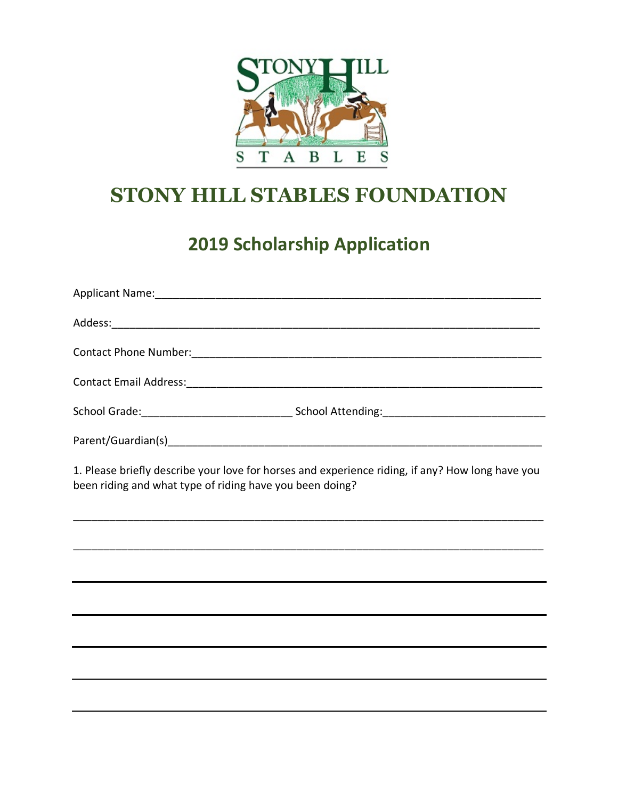

# **STONY HILL STABLES FOUNDATION**

## **2019 Scholarship Application**

| 1. Please briefly describe your love for horses and experience riding, if any? How long have you<br>been riding and what type of riding have you been doing? |  |
|--------------------------------------------------------------------------------------------------------------------------------------------------------------|--|
|                                                                                                                                                              |  |
|                                                                                                                                                              |  |
|                                                                                                                                                              |  |
|                                                                                                                                                              |  |
|                                                                                                                                                              |  |